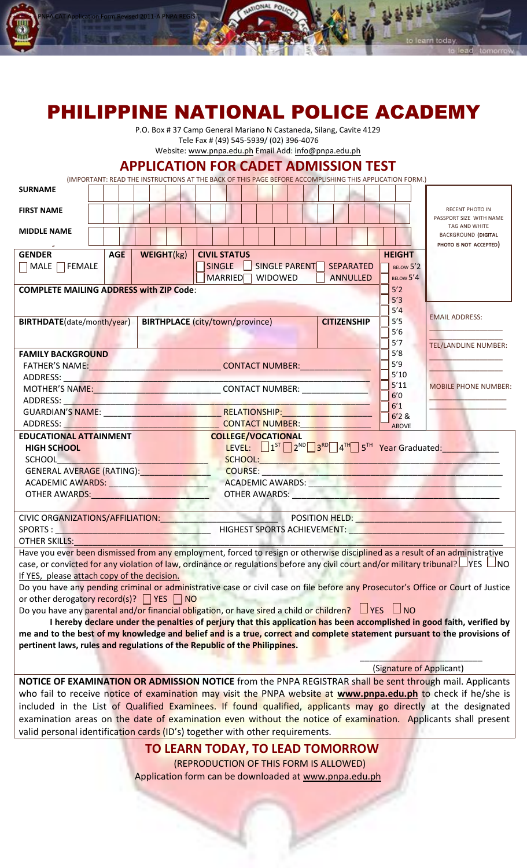

# PHILIPPINE NATIONAL POLICE ACADEMY

P.O. Box # 37 Camp General Mariano N Castaneda, Silang, Cavite 4129 Tele Fax # (49) 545-5939/ (02) 396-4076

Website: [www.pnpa.edu.ph](http://www.pnpa.edu.ph/) Email Add[: info@pnpa.edu.ph](mailto:info@pnpa.edu.ph)

## **APPLICATION FOR CADET ADMISSION TEST**

(IMPORTANT: READ THE INSTRUCTIONS AT THE BACK OF THIS PAGE BEFORE ACCOMPLISHING THIS APPLICATION FORM.)

| <b>SURNAME</b>                                                                                                                   |  |            |  |  |                                                                                                                |  |   |                           |  |  |           |  |     |  |  |                  |               |                                                                                                                              |
|----------------------------------------------------------------------------------------------------------------------------------|--|------------|--|--|----------------------------------------------------------------------------------------------------------------|--|---|---------------------------|--|--|-----------|--|-----|--|--|------------------|---------------|------------------------------------------------------------------------------------------------------------------------------|
| <b>FIRST NAME</b>                                                                                                                |  |            |  |  |                                                                                                                |  |   |                           |  |  |           |  |     |  |  |                  |               | <b>RECENT PHOTO IN</b>                                                                                                       |
|                                                                                                                                  |  |            |  |  |                                                                                                                |  |   |                           |  |  |           |  |     |  |  |                  |               | PASSPORT SIZE WITH NAME<br>TAG AND WHITE                                                                                     |
| <b>MIDDLE NAME</b>                                                                                                               |  |            |  |  |                                                                                                                |  |   |                           |  |  |           |  |     |  |  |                  |               | <b>BACKGROUND (DIGITAL</b>                                                                                                   |
|                                                                                                                                  |  |            |  |  |                                                                                                                |  |   |                           |  |  |           |  |     |  |  |                  |               | PHOTO IS NOT ACCEPTED)                                                                                                       |
| <b>GENDER</b>                                                                                                                    |  | <b>AGE</b> |  |  | WEIGHT(kg)                                                                                                     |  |   | <b>CIVIL STATUS</b>       |  |  |           |  |     |  |  |                  | <b>HEIGHT</b> |                                                                                                                              |
| $\Box$ MALE $\Box$ FEMALE                                                                                                        |  |            |  |  |                                                                                                                |  |   | SINGLE SINGLE PARENT      |  |  |           |  |     |  |  | <b>SEPARATED</b> | BELOW 5'2     |                                                                                                                              |
| <b>MARRIED</b><br><b>WIDOWED</b><br><b>ANNULLED</b>                                                                              |  |            |  |  |                                                                                                                |  |   |                           |  |  | BELOW 5'4 |  |     |  |  |                  |               |                                                                                                                              |
| <b>COMPLETE MAILING ADDRESS with ZIP Code:</b>                                                                                   |  |            |  |  |                                                                                                                |  |   |                           |  |  | 5'2       |  |     |  |  |                  |               |                                                                                                                              |
|                                                                                                                                  |  |            |  |  |                                                                                                                |  |   |                           |  |  | 5'3       |  |     |  |  |                  |               |                                                                                                                              |
|                                                                                                                                  |  |            |  |  |                                                                                                                |  |   |                           |  |  |           |  |     |  |  |                  | 5'4<br>5'5    | <b>EMAIL ADDRESS:</b>                                                                                                        |
| <b>BIRTHDATE</b> (date/month/year)                                                                                               |  |            |  |  | <b>BIRTHPLACE</b> (city/town/province)<br><b>CITIZENSHIP</b>                                                   |  |   |                           |  |  |           |  | 5'6 |  |  |                  |               |                                                                                                                              |
|                                                                                                                                  |  |            |  |  |                                                                                                                |  |   |                           |  |  |           |  |     |  |  |                  | 5'7           | <b>TEL/LANDLINE NUMBER:</b>                                                                                                  |
| <b>FAMILY BACKGROUND</b>                                                                                                         |  |            |  |  |                                                                                                                |  |   |                           |  |  |           |  |     |  |  |                  | 5'8           |                                                                                                                              |
|                                                                                                                                  |  |            |  |  |                                                                                                                |  |   |                           |  |  |           |  |     |  |  |                  | 5'9           |                                                                                                                              |
| ADDRESS: AND AND ARRIVE                                                                                                          |  |            |  |  |                                                                                                                |  |   |                           |  |  |           |  |     |  |  |                  | 5'10          |                                                                                                                              |
|                                                                                                                                  |  |            |  |  |                                                                                                                |  |   |                           |  |  |           |  |     |  |  |                  | 5'11          | <b>MOBILE PHONE NUMBER:</b>                                                                                                  |
| ADDRESS: AND AND ARRIVE                                                                                                          |  |            |  |  | the first control of the company of                                                                            |  |   |                           |  |  |           |  |     |  |  |                  | 6'0           |                                                                                                                              |
|                                                                                                                                  |  |            |  |  |                                                                                                                |  |   |                           |  |  |           |  |     |  |  |                  | 6'1<br>6'2 &  |                                                                                                                              |
|                                                                                                                                  |  |            |  |  |                                                                                                                |  |   |                           |  |  |           |  |     |  |  |                  | <b>ABOVE</b>  |                                                                                                                              |
| <b>EDUCATIONAL ATTAINMENT</b>                                                                                                    |  |            |  |  |                                                                                                                |  |   | <b>COLLEGE/VOCATIONAL</b> |  |  |           |  |     |  |  |                  |               |                                                                                                                              |
| <b>HIGH SCHOOL</b>                                                                                                               |  |            |  |  |                                                                                                                |  |   |                           |  |  |           |  |     |  |  |                  |               | LEVEL: 1 <sup>ST</sup> 2 <sup>ND</sup> 3 <sup>RD</sup> 4 <sup>TH</sup> 5 <sup>TH</sup> Year Graduated:                       |
| <b>SCHOOL</b>                                                                                                                    |  |            |  |  |                                                                                                                |  |   |                           |  |  |           |  |     |  |  |                  |               |                                                                                                                              |
| GENERAL AVERAGE (RATING):                                                                                                        |  |            |  |  |                                                                                                                |  | ÷ |                           |  |  |           |  |     |  |  |                  |               |                                                                                                                              |
|                                                                                                                                  |  |            |  |  |                                                                                                                |  |   |                           |  |  |           |  |     |  |  |                  |               |                                                                                                                              |
|                                                                                                                                  |  |            |  |  | OTHER AWARDS: A CONSTRUCTION OF THE CONSTRUCTION OF THE CONSTRUCTION OF THE CONSTRUCTION OF THE CONSTRUCTION O |  |   |                           |  |  |           |  |     |  |  |                  |               |                                                                                                                              |
|                                                                                                                                  |  |            |  |  |                                                                                                                |  |   |                           |  |  |           |  |     |  |  |                  |               |                                                                                                                              |
| CIVIC ORGANIZATIONS/AFFILIATION: POSITION HELD:                                                                                  |  |            |  |  |                                                                                                                |  |   |                           |  |  |           |  |     |  |  |                  |               |                                                                                                                              |
|                                                                                                                                  |  |            |  |  |                                                                                                                |  |   |                           |  |  |           |  |     |  |  |                  |               |                                                                                                                              |
| OTHER SKILLS:                                                                                                                    |  |            |  |  |                                                                                                                |  |   |                           |  |  |           |  |     |  |  |                  |               |                                                                                                                              |
|                                                                                                                                  |  |            |  |  |                                                                                                                |  |   |                           |  |  |           |  |     |  |  |                  |               | Have you ever been dismissed from any employment, forced to resign or otherwise disciplined as a result of an administrative |
| case, or convicted for any violation of law, ordinance or regulations before any civil court and/or military tribunal? UYES UNO  |  |            |  |  |                                                                                                                |  |   |                           |  |  |           |  |     |  |  |                  |               |                                                                                                                              |
| If YES, please attach copy of the decision.                                                                                      |  |            |  |  |                                                                                                                |  |   |                           |  |  |           |  |     |  |  |                  |               |                                                                                                                              |
| Do you have any pending criminal or administrative case or civil case on file before any Prosecutor's Office or Court of Justice |  |            |  |  |                                                                                                                |  |   |                           |  |  |           |  |     |  |  |                  |               |                                                                                                                              |
| or other derogatory record(s)? $\Box$ YES $\Box$ NO                                                                              |  |            |  |  |                                                                                                                |  |   |                           |  |  |           |  |     |  |  |                  |               |                                                                                                                              |
| Do you have any parental and/or financial obligation, or have sired a child or children? $\Box$ YES $\Box$ NO                    |  |            |  |  |                                                                                                                |  |   |                           |  |  |           |  |     |  |  |                  |               |                                                                                                                              |

**I hereby declare under the penalties of perjury that this application has been accomplished in good faith, verified by me and to the best of my knowledge and belief and is a true, correct and complete statement pursuant to the provisions of pertinent laws, rules and regulations of the Republic of the Philippines.**

> $\mathcal{L}=\mathcal{L}=\mathcal{L}=\mathcal{L}=\mathcal{L}=\mathcal{L}=\mathcal{L}=\mathcal{L}=\mathcal{L}=\mathcal{L}=\mathcal{L}=\mathcal{L}=\mathcal{L}=\mathcal{L}=\mathcal{L}=\mathcal{L}=\mathcal{L}=\mathcal{L}=\mathcal{L}=\mathcal{L}=\mathcal{L}=\mathcal{L}=\mathcal{L}=\mathcal{L}=\mathcal{L}=\mathcal{L}=\mathcal{L}=\mathcal{L}=\mathcal{L}=\mathcal{L}=\mathcal{L}=\mathcal{L}=\mathcal{L}=\mathcal{L}=\mathcal{L}=\mathcal{L}=\mathcal{$ (Signature of Applicant)

**NOTICE OF EXAMINATION OR ADMISSION NOTICE** from the PNPA REGISTRAR shall be sent through mail. Applicants who fail to receive notice of examination may visit the PNPA website at **www.pnpa.edu.ph** to check if he/she is included in the List of Qualified Examinees. If found qualified, applicants may go directly at the designated examination areas on the date of examination even without the notice of examination. Applicants shall present valid personal identification cards (ID's) together with other requirements.

**TO LEARN TODAY, TO LEAD TOMORROW**

(REPRODUCTION OF THIS FORM IS ALLOWED) Application form can be downloaded at [www.pnpa.edu.ph](http://www.pnpa.edu.ph/)